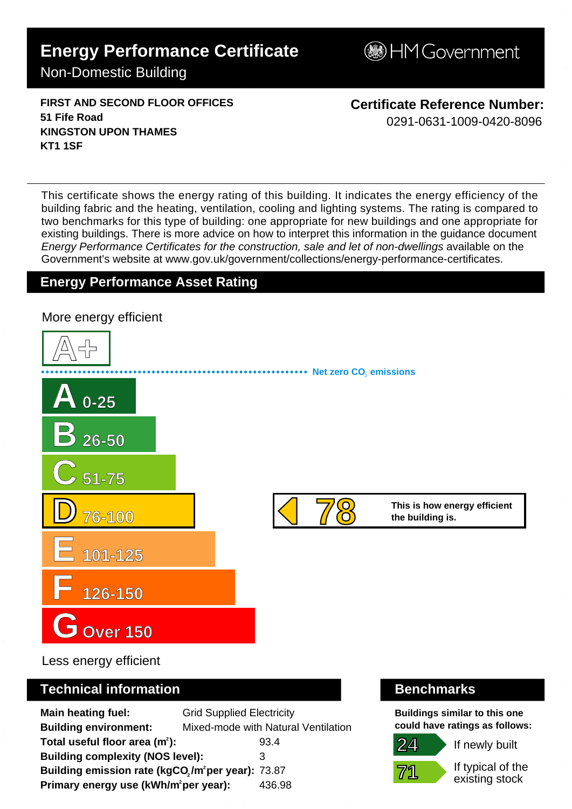# **Energy Performance Certificate**

**BHM Government** 

Non-Domestic Building

**FIRST AND SECOND FLOOR OFFICES 51 Fife Road KINGSTON UPON THAMES KT1 1SF**

**Certificate Reference Number:** 0291-0631-1009-0420-8096

This certificate shows the energy rating of this building. It indicates the energy efficiency of the building fabric and the heating, ventilation, cooling and lighting systems. The rating is compared to two benchmarks for this type of building: one appropriate for new buildings and one appropriate for existing buildings. There is more advice on how to interpret this information in the guidance document Energy Performance Certificates for the construction, sale and let of non-dwellings available on the Government's website at www.gov.uk/government/collections/energy-performance-certificates.

# **Energy Performance Asset Rating**



Less energy efficient

# **Technical information Benchmarks**

**Main heating fuel:** Grid Supplied Electricity **Building environment:** Mixed-mode with Natural Ventilation **Total useful floor area (m<sup>2</sup>):** 93.4 **Building complexity (NOS level):** 3 Building emission rate (kgCO<sub>2</sub>/m<sup>2</sup>per year): 73.87 **Primary energy use (kWh/m<sup>2</sup>per year):** 436.98

**Buildings similar to this one could have ratings as follows:**



If newly built

If typical of the existing stock